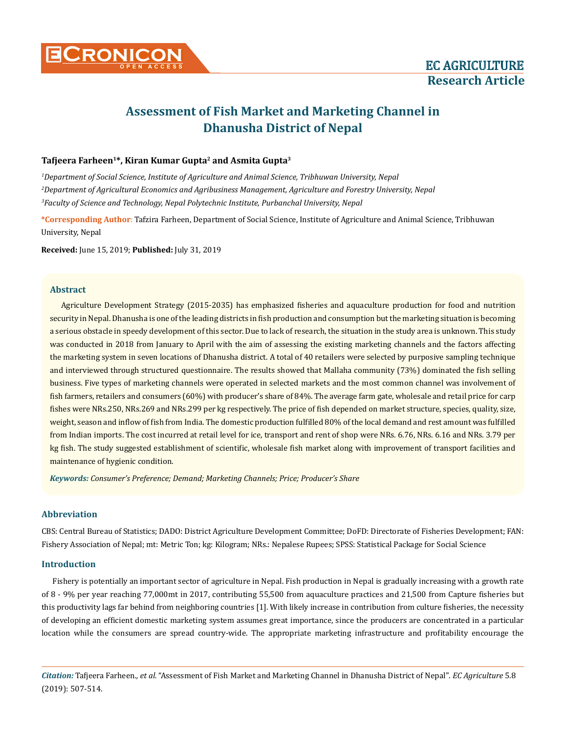

# **Assessment of Fish Market and Marketing Channel in Dhanusha District of Nepal**

## **Tafjeera Farheen1\*, Kiran Kumar Gupta2 and Asmita Gupta3**

*1 Department of Social Science, Institute of Agriculture and Animal Science, Tribhuwan University, Nepal 2 Department of Agricultural Economics and Agribusiness Management, Agriculture and Forestry University, Nepal 3 Faculty of Science and Technology, Nepal Polytechnic Institute, Purbanchal University, Nepal*

**\*Corresponding Author**: Tafzira Farheen, Department of Social Science, Institute of Agriculture and Animal Science, Tribhuwan University, Nepal

**Received:** June 15, 2019; **Published:** July 31, 2019

## **Abstract**

Agriculture Development Strategy (2015-2035) has emphasized fisheries and aquaculture production for food and nutrition security in Nepal. Dhanusha is one of the leading districts in fish production and consumption but the marketing situation is becoming a serious obstacle in speedy development of this sector. Due to lack of research, the situation in the study area is unknown. This study was conducted in 2018 from January to April with the aim of assessing the existing marketing channels and the factors affecting the marketing system in seven locations of Dhanusha district. A total of 40 retailers were selected by purposive sampling technique and interviewed through structured questionnaire. The results showed that Mallaha community (73%) dominated the fish selling business. Five types of marketing channels were operated in selected markets and the most common channel was involvement of fish farmers, retailers and consumers (60%) with producer's share of 84%. The average farm gate, wholesale and retail price for carp fishes were NRs.250, NRs.269 and NRs.299 per kg respectively. The price of fish depended on market structure, species, quality, size, weight, season and inflow of fish from India. The domestic production fulfilled 80% of the local demand and rest amount was fulfilled from Indian imports. The cost incurred at retail level for ice, transport and rent of shop were NRs. 6.76, NRs. 6.16 and NRs. 3.79 per kg fish. The study suggested establishment of scientific, wholesale fish market along with improvement of transport facilities and maintenance of hygienic condition.

*Keywords: Consumer's Preference; Demand; Marketing Channels; Price; Producer's Share*

# **Abbreviation**

CBS: Central Bureau of Statistics; DADO: District Agriculture Development Committee; DoFD: Directorate of Fisheries Development; FAN: Fishery Association of Nepal; mt: Metric Ton; kg: Kilogram; NRs.: Nepalese Rupees; SPSS: Statistical Package for Social Science

## **Introduction**

Fishery is potentially an important sector of agriculture in Nepal. Fish production in Nepal is gradually increasing with a growth rate of 8 - 9% per year reaching 77,000mt in 2017, contributing 55,500 from aquaculture practices and 21,500 from Capture fisheries but this productivity lags far behind from neighboring countries [1]. With likely increase in contribution from culture fisheries, the necessity of developing an efficient domestic marketing system assumes great importance, since the producers are concentrated in a particular location while the consumers are spread country-wide. The appropriate marketing infrastructure and profitability encourage the

*Citation:* Tafjeera Farheen*., et al.* "Assessment of Fish Market and Marketing Channel in Dhanusha District of Nepal". *EC Agriculture* 5.8 (2019): 507-514.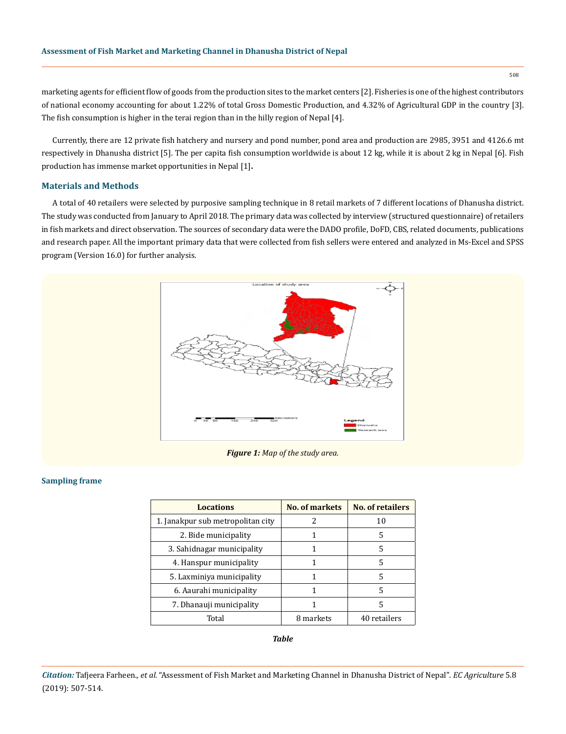marketing agents for efficient flow of goods from the production sites to the market centers [2]. Fisheries is one of the highest contributors of national economy accounting for about 1.22% of total Gross Domestic Production, and 4.32% of Agricultural GDP in the country [3]. The fish consumption is higher in the terai region than in the hilly region of Nepal [4].

Currently, there are 12 private fish hatchery and nursery and pond number, pond area and production are 2985, 3951 and 4126.6 mt respectively in Dhanusha district [5]. The per capita fish consumption worldwide is about 12 kg, while it is about 2 kg in Nepal [6]. Fish production has immense market opportunities in Nepal [1]**.**

## **Materials and Methods**

A total of 40 retailers were selected by purposive sampling technique in 8 retail markets of 7 different locations of Dhanusha district. The study was conducted from January to April 2018. The primary data was collected by interview (structured questionnaire) of retailers in fish markets and direct observation. The sources of secondary data were the DADO profile, DoFD, CBS, related documents, publications and research paper. All the important primary data that were collected from fish sellers were entered and analyzed in Ms-Excel and SPSS program (Version 16.0) for further analysis.



*Figure 1: Map of the study area.*

#### **Sampling frame**

| <b>Locations</b>                  | No. of markets | <b>No. of retailers</b> |
|-----------------------------------|----------------|-------------------------|
| 1. Janakpur sub metropolitan city |                | 10                      |
| 2. Bide municipality              |                | 5                       |
| 3. Sahidnagar municipality        |                | 5                       |
| 4. Hanspur municipality           |                | 5                       |
| 5. Laxminiya municipality         |                | 5                       |
| 6. Aaurahi municipality           |                | 5                       |
| 7. Dhanauji municipality          |                | 5                       |
| Total                             | 8 markets      | 40 retailers            |

*Table*

508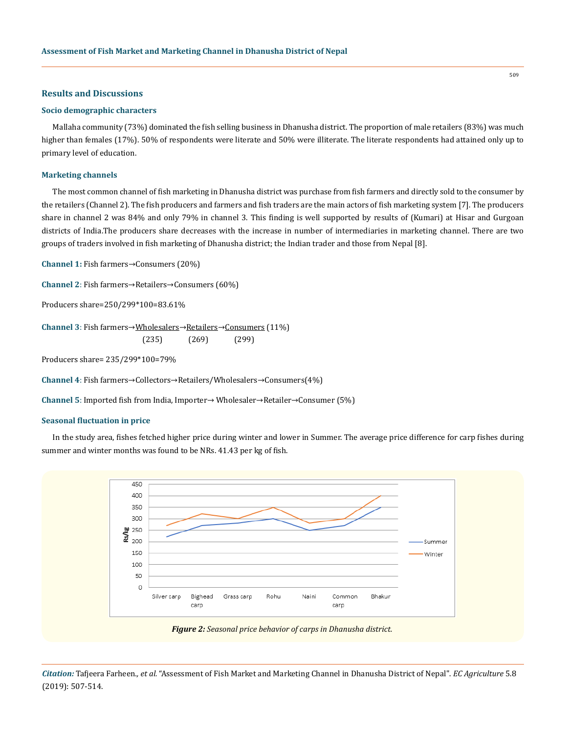## **Results and Discussions**

#### **Socio demographic characters**

Mallaha community (73%) dominated the fish selling business in Dhanusha district. The proportion of male retailers (83%) was much higher than females (17%). 50% of respondents were literate and 50% were illiterate. The literate respondents had attained only up to primary level of education.

## **Marketing channels**

The most common channel of fish marketing in Dhanusha district was purchase from fish farmers and directly sold to the consumer by the retailers (Channel 2). The fish producers and farmers and fish traders are the main actors of fish marketing system [7]. The producers share in channel 2 was 84% and only 79% in channel 3. This finding is well supported by results of (Kumari) at Hisar and Gurgoan districts of India.The producers share decreases with the increase in number of intermediaries in marketing channel. There are two groups of traders involved in fish marketing of Dhanusha district; the Indian trader and those from Nepal [8].

**Channel 1:** Fish farmers→Consumers (20%)

**Channel 2**: Fish farmers→Retailers→Consumers (60%)

Producers share=250/299\*100=83.61%

**Channel 3**: Fish farmers→Wholesalers→Retailers→Consumers (11%)  $(235)$   $(269)$   $(299)$ 

Producers share= 235/299\*100=79%

**Channel 4**: Fish farmers→Collectors→Retailers/Wholesalers→Consumers(4%)

**Channel 5**: Imported fish from India, Importer→ Wholesaler→Retailer→Consumer (5%)

#### **Seasonal fluctuation in price**

In the study area, fishes fetched higher price during winter and lower in Summer. The average price difference for carp fishes during summer and winter months was found to be NRs. 41.43 per kg of fish.



*Figure 2: Seasonal price behavior of carps in Dhanusha district.*

*Citation:* Tafjeera Farheen*., et al.* "Assessment of Fish Market and Marketing Channel in Dhanusha District of Nepal". *EC Agriculture* 5.8 (2019): 507-514.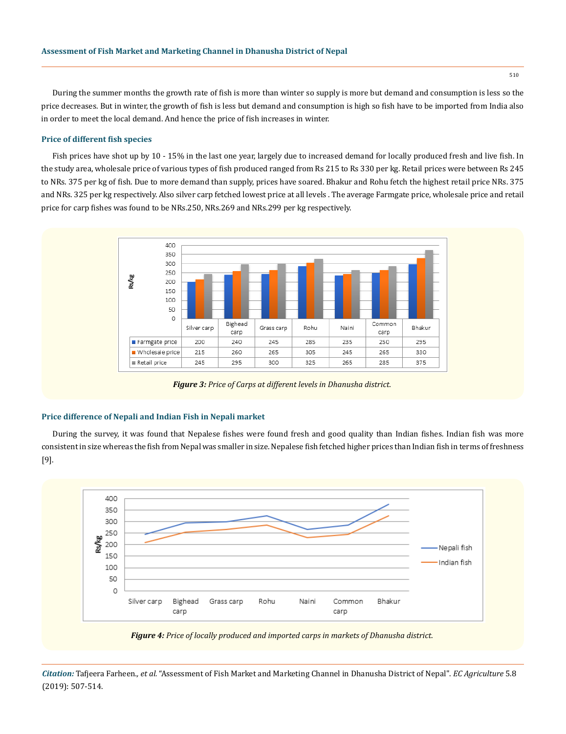During the summer months the growth rate of fish is more than winter so supply is more but demand and consumption is less so the price decreases. But in winter, the growth of fish is less but demand and consumption is high so fish have to be imported from India also in order to meet the local demand. And hence the price of fish increases in winter.

#### **Price of different fish species**

Fish prices have shot up by 10 - 15% in the last one year, largely due to increased demand for locally produced fresh and live fish. In the study area, wholesale price of various types of fish produced ranged from Rs 215 to Rs 330 per kg. Retail prices were between Rs 245 to NRs. 375 per kg of fish. Due to more demand than supply, prices have soared. Bhakur and Rohu fetch the highest retail price NRs. 375 and NRs. 325 per kg respectively. Also silver carp fetched lowest price at all levels . The average Farmgate price, wholesale price and retail price for carp fishes was found to be NRs.250, NRs.269 and NRs.299 per kg respectively.



*Figure 3: Price of Carps at different levels in Dhanusha district.*

#### **Price difference of Nepali and Indian Fish in Nepali market**

During the survey, it was found that Nepalese fishes were found fresh and good quality than Indian fishes. Indian fish was more consistent in size whereas the fish from Nepal was smaller in size. Nepalese fish fetched higher prices than Indian fish in terms of freshness [9].





*Citation:* Tafjeera Farheen*., et al.* "Assessment of Fish Market and Marketing Channel in Dhanusha District of Nepal". *EC Agriculture* 5.8 (2019): 507-514.

510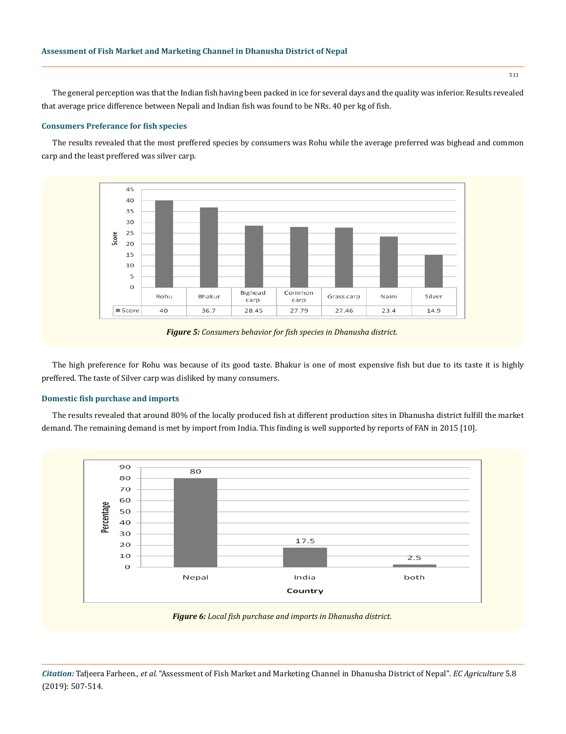The general perception was that the Indian fish having been packed in ice for several days and the quality was inferior. Results revealed that average price difference between Nepali and Indian fish was found to be NRs. 40 per kg of fish.

## **Consumers Preferance for fish species**

The results revealed that the most preffered species by consumers was Rohu while the average preferred was bighead and common carp and the least preffered was silver carp.



*Figure 5: Consumers behavior for fish species in Dhanusha district.*

The high preference for Rohu was because of its good taste. Bhakur is one of most expensive fish but due to its taste it is highly preffered. The taste of Silver carp was disliked by many consumers.

## **Domestic fish purchase and imports**

The results revealed that around 80% of the locally produced fish at different production sites in Dhanusha district fulfill the market demand. The remaining demand is met by import from India. This finding is well supported by reports of FAN in 2015 [10].



*Figure 6: Local fish purchase and imports in Dhanusha district.*

*Citation:* Tafjeera Farheen*., et al.* "Assessment of Fish Market and Marketing Channel in Dhanusha District of Nepal". *EC Agriculture* 5.8 (2019): 507-514.

511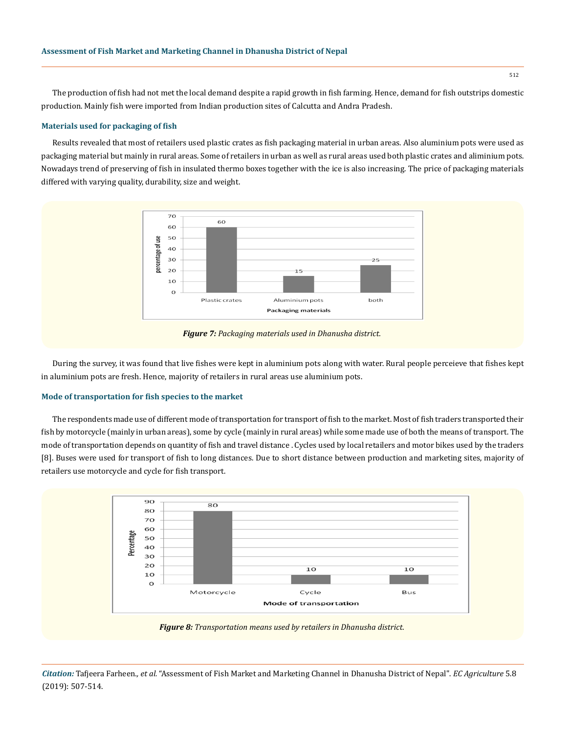The production of fish had not met the local demand despite a rapid growth in fish farming. Hence, demand for fish outstrips domestic production. Mainly fish were imported from Indian production sites of Calcutta and Andra Pradesh.

### **Materials used for packaging of fish**

Results revealed that most of retailers used plastic crates as fish packaging material in urban areas. Also aluminium pots were used as packaging material but mainly in rural areas. Some of retailers in urban as well as rural areas used both plastic crates and aliminium pots. Nowadays trend of preserving of fish in insulated thermo boxes together with the ice is also increasing. The price of packaging materials differed with varying quality, durability, size and weight.



*Figure 7: Packaging materials used in Dhanusha district.*

During the survey, it was found that live fishes were kept in aluminium pots along with water. Rural people perceieve that fishes kept in aluminium pots are fresh. Hence, majority of retailers in rural areas use aluminium pots.

## **Mode of transportation for fish species to the market**

The respondents made use of different mode of transportation for transport of fish to the market. Most of fish traders transported their fish by motorcycle (mainly in urban areas), some by cycle (mainly in rural areas) while some made use of both the means of transport. The mode of transportation depends on quantity of fish and travel distance . Cycles used by local retailers and motor bikes used by the traders [8]. Buses were used for transport of fish to long distances. Due to short distance between production and marketing sites, majority of retailers use motorcycle and cycle for fish transport.



*Citation:* Tafjeera Farheen*., et al.* "Assessment of Fish Market and Marketing Channel in Dhanusha District of Nepal". *EC Agriculture* 5.8 (2019): 507-514.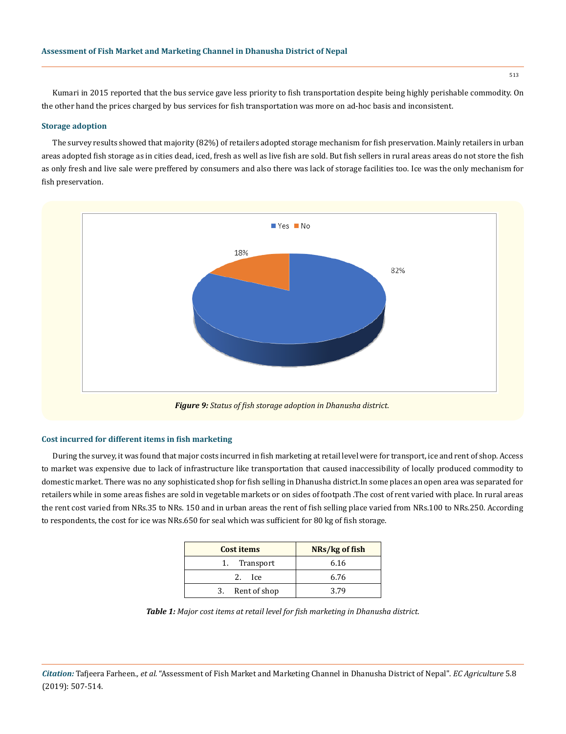Kumari in 2015 reported that the bus service gave less priority to fish transportation despite being highly perishable commodity. On the other hand the prices charged by bus services for fish transportation was more on ad-hoc basis and inconsistent.

## **Storage adoption**

The survey results showed that majority (82%) of retailers adopted storage mechanism for fish preservation. Mainly retailers in urban areas adopted fish storage as in cities dead, iced, fresh as well as live fish are sold. But fish sellers in rural areas areas do not store the fish as only fresh and live sale were preffered by consumers and also there was lack of storage facilities too. Ice was the only mechanism for fish preservation.



## **Cost incurred for different items in fish marketing**

During the survey, it was found that major costs incurred in fish marketing at retail level were for transport, ice and rent of shop. Access to market was expensive due to lack of infrastructure like transportation that caused inaccessibility of locally produced commodity to domestic market. There was no any sophisticated shop for fish selling in Dhanusha district.In some places an open area was separated for retailers while in some areas fishes are sold in vegetable markets or on sides of footpath .The cost of rent varied with place. In rural areas the rent cost varied from NRs.35 to NRs. 150 and in urban areas the rent of fish selling place varied from NRs.100 to NRs.250. According to respondents, the cost for ice was NRs.650 for seal which was sufficient for 80 kg of fish storage.

| <b>Cost items</b> | NRs/kg of fish |
|-------------------|----------------|
| 1. Transport      | 6.16           |
| - Ice<br>2.       | 6.76           |
| 3. Rent of shop   | 3 79           |

*Table 1: Major cost items at retail level for fish marketing in Dhanusha district.*